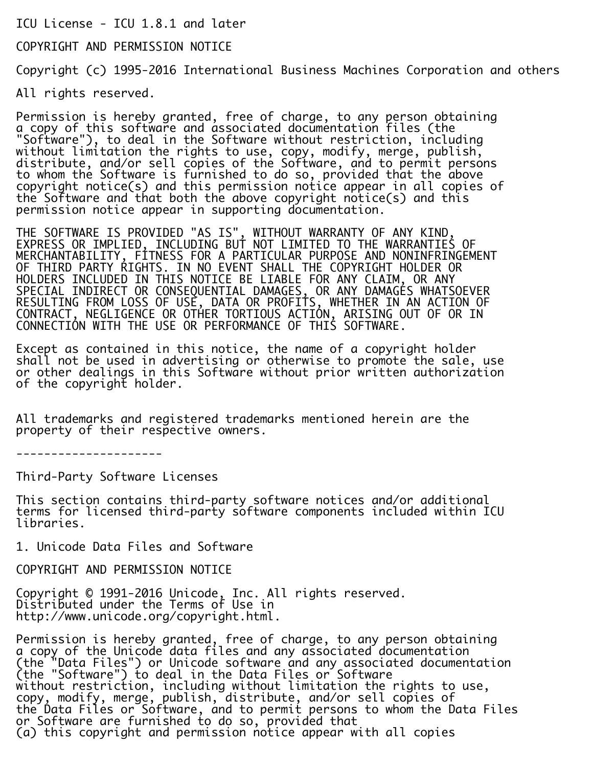ICU License - ICU 1.8.1 and later

COPYRIGHT AND PERMISSION NOTICE

Copyright (c) 1995-2016 International Business Machines Corporation and others

All rights reserved.

Permission is hereby granted, free of charge, to any person obtaining a copy of this software and associated documentation files (the "Software"), to deal in the Software without restriction, including without limitation the rights to use, copy, modify, merge, publish, distribute, and/or sell copies of the Software, and to permit persons to whom the Software is furnished to do so, provided that the above copyright notice(s) and this permission notice appear in all copies of the Software and that both the above copyright notice(s) and this permission notice appear in supporting documentation.

i. THE SOFTWARE IS PROVIDED "AS IS", WITHOUT WARRANTY OF ANY KIND, EXPRESS OR IMPLIED, INCLUDING BUT NOT LIMITED TO THE WARRANTIES OF MERCHANTABILITY, FITNESS FOR A PARTICULAR PURPOSE AND NONINFRINGEMENT OF THIRD PARTY RIGHTS. IN NO EVENT SHALL THE COPYRIGHT HOLDER OR HOLDERS INCLUDED IN THIS NOTICE BE LIABLE FOR ANY CLAIM, OR ANY SPECIAL INDIRECT OR CONSEQUENTIAL DAMAGES, OR ANY DAMAGES WHATSOEVER RESULTING FROM LOSS OF USE, DATA OR PROFITS, WHETHER IN AN ACTION OF CONTRACT, NEGLIGENCE OR OTHER TORTIOUS ACTION, ARISING OUT OF OR IN CONNECTION WITH THE USE OR PERFORMANCE OF THIS SOFTWARE.

Except as contained in this notice, the name of a copyright holder shall not be used in advertising or otherwise to promote the sale, use or other dealings in this Software without prior written authorization of the copyright holder.

All trademarks and registered trademarks mentioned herein are the property of their respective owners.

---------------------

Third-Party Software Licenses

This section contains third-party software notices and/or additional terms for licensed third-party software components included within ICU libraries.

1. Unicode Data Files and Software

COPYRIGHT AND PERMISSION NOTICE

Copyright © 1991-2016 Unicode, Inc. All rights reserved. Distributed under the Terms of Use in http://www.unicode.org/copyright.html.

Permission is hereby granted, free of charge, to any person obtaining a copy of the Unicode data files and any associated documentation (the "Data Files") or Unicode software and any associated documentation (the "Software") to deal in the Data Files or Software without restriction, including without limitation the rights to use, copy, modify, merge, publish, distribute, and/or sell copies of the Data Files or Software, and to permit persons to whom the Data Files or Software are furnished to do so, provided that (a) this copyright and permission notice appear with all copies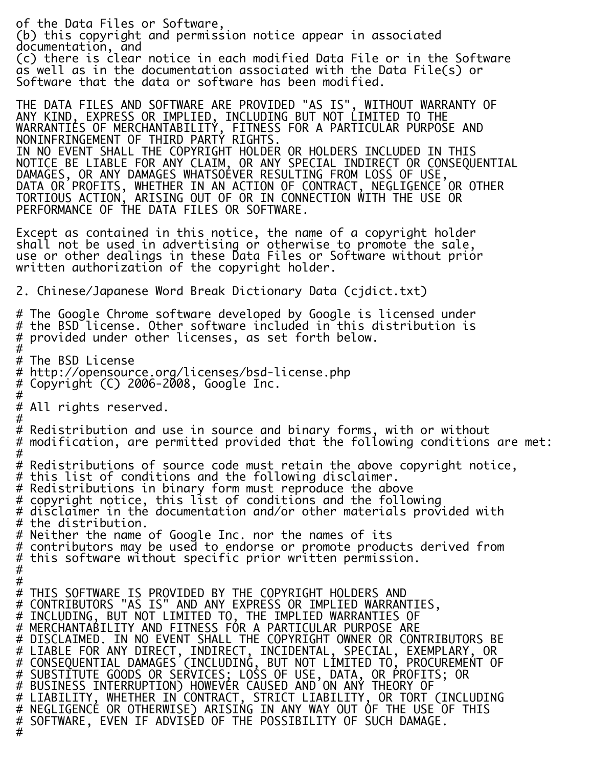of the Data Files or Software, (b) this copyright and permission notice appear in associated documentation, and (c) there is clear notice in each modified Data File or in the Software as well as in the documentation associated with the Data File(s) or Software that the data or software has been modified. THE DATA FILES AND SOFTWARE ARE PROVIDED "AS IS", WITHOUT WARRANTY OF ANY KIND, EXPRESS OR IMPLIED, INCLUDING BUT NOT LIMITED TO THE WARRANTIES OF MERCHANTABILITY, FITNESS FOR A PARTICULAR PURPOSE AND NONINFRINGEMENT OF THIRD PARTY RIGHTS. IN NO EVENT SHALL THE COPYRIGHT HOLDER OR HOLDERS INCLUDED IN THIS NOTICE BE LIABLE FOR ANY CLAIM, OR ANY SPECIAL INDIRECT OR CONSEQUENTIAL DAMAGES, OR ANY DAMAGES WHATSOEVER RESULTING FROM LOSS OF USE, DATA OR PROFITS, WHETHER IN AN ACTION OF CONTRACT, NEGLIGENCE OR OTHER TORTIOUS ACTION, ARISING OUT OF OR IN CONNECTION WITH THE USE OR PERFORMANCE OF THE DATA FILES OR SOFTWARE. Except as contained in this notice, the name of a copyright holder shall not be used in advertising or otherwise to promote the sale, use or other dealings in these Data Files or Software without prior written authorization of the copyright holder. 2. Chinese/Japanese Word Break Dictionary Data (cjdict.txt) # The Google Chrome software developed by Google is licensed under # the BSD license. Other software included in this distribution is # provided under other licenses, as set forth below. # # The BSD License # http://opensource.org/licenses/bsd-license.php # Copyright (C) 2006-2008, Google Inc. # # All rights reserved. # # Redistribution and use in source and binary forms, with or without # modification, are permitted provided that the following conditions are met: # # Redistributions of source code must retain the above copyright notice, # this list of conditions and the following disclaimer. # Redistributions in binary form must reproduce the above # copyright notice, this list of conditions and the following  $\#$  disclaimer in the documentation and/or other materials provided with # the distribution. # Neither the name of Google Inc. nor the names of its # contributors may be used to endorse or promote products derived from # this software without specific prior written permission. # # # THIS SOFTWARE IS PROVIDED BY THE COPYRIGHT HOLDERS AND # CONTRIBUTORS "AS IS" AND ANY EXPRESS OR IMPLIED WARRANTIES, # INCLUDING, BUT NOT LIMITED TO, THE IMPLIED WARRANTIES OF # MERCHANTABILITY AND FITNESS FOR A PARTICULAR PURPOSE ARE # DISCLAIMED. IN NO EVENT SHALL THE COPYRIGHT OWNER OR CONTRIBUTORS BE # LIABLE FOR ANY DIRECT, INDIRECT, INCIDENTAL, SPECIAL, EXEMPLARY, OR # CONSEQUENTIAL DAMAGES (INCLUDING, BUT NOT LIMITED TO, PROCUREMENT OF # SUBSTITUTE GOODS OR SERVICES; LOSS OF USE, DATA, OR PROFITS; OR # BUSINESS INTERRUPTION) HOWEVER CAUSED AND ON ANY THEORY OF # LIABILITY, WHETHER IN CONTRACT, STRICT LIABILITY, OR TORT (INCLUDING # NEGLIGENCE OR OTHERWISE) ARISING IN ANY WAY OUT OF THE USE OF THIS # SOFTWARE, EVEN IF ADVISED OF THE POSSIBILITY OF SUCH DAMAGE. #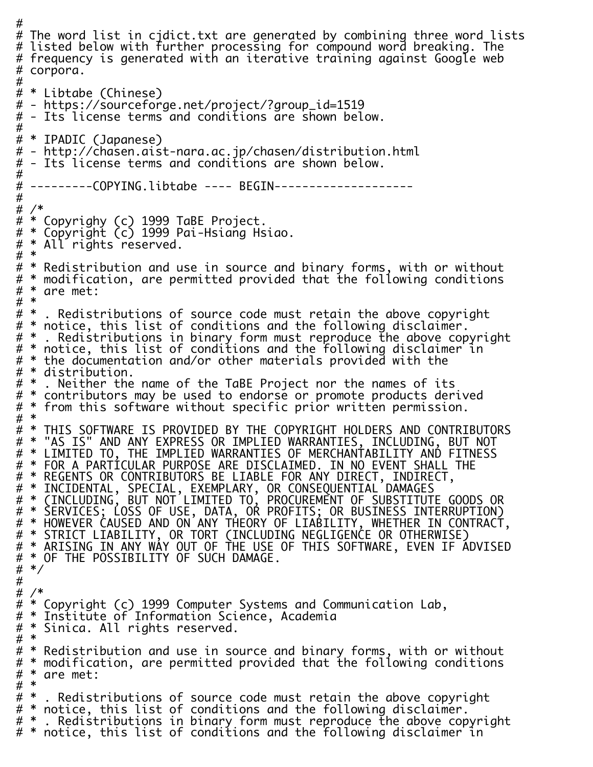# # The word list in cjdict.txt are generated by combining three word lists # listed below with further processing for compound word breaking. The # frequency is generated with an iterative training against Google web # corpora. # # \* Libtabe (Chinese) # - https://sourceforge.net/project/?group\_id=1519 # - Its license terms and conditions are shown below. # # \* IPADIC (Japanese) # - http://chasen.aist-nara.ac.jp/chasen/distribution.html # - Its license terms and conditions are shown below. # # ---------COPYING.libtabe ---- BEGIN-------------------- # # /\* # \* Copyrighy (c) 1999 TaBE Project. # \* Copyright (c) 1999 Pai-Hsiang Hsiao. # \* All rights reserved. # \* # \* Redistribution and use in source and binary forms, with or without # \* modification, are permitted provided that the following conditions # \* are met: # \* # \* . Redistributions of source code must retain the above copyright # \* notice, this list of conditions and the following disclaimer. # \* . Redistributions in binary form must reproduce the above copyright # \* notice, this list of conditions and the following disclaimer in # \* the documentation and/or other materials provided with the  $\# *$  distribution.<br> $\# *$  . Neither the . Neither the name of the TaBE Project nor the names of its # \* contributors may be used to endorse or promote products derived # \* from this software without specific prior written permission. # \* # \* THIS SOFTWARE IS PROVIDED BY THE COPYRIGHT HOLDERS AND CONTRIBUTORS # \* "AS IS" AND ANY EXPRESS OR IMPLIED WARRANTIES, INCLUDING, BUT NOT # \* LIMITED TO, THE IMPLIED WARRANTIES OF MERCHANTABILITY AND FITNESS<br># \* FOR A PARTICULAR PURPOSE ARF DISCLATMED. TN NO FVENT SHALL THE FOR A PARTICULAR PURPOSE ARE DISCLAIMED. IN NO EVENT SHALL THE # \* REGENTS OR CONTRIBUTORS BE LIABLE FOR ANY DIRECT, INDIRECT, # \* INCIDENTAL, SPECIAL, EXEMPLARY, OR CONSEQUENTIAL DAMAGES # \* (INCLUDING, BUT NOT LIMITED TO, PROCUREMENT OF SUBSTITUTE GOODS OR # \* SERVICES; LOSS OF USE, DATA, OR PROFITS; OR BUSINESS INTERRUPTION) # \* HOWEVER CAUSED AND ON ANY THEORY OF LIABILITY, WHETHER IN CONTRACT, # \* STRICT LIABILITY, OR TORT (INCLUDING NEGLIGENCE OR OTHERWISE) # \* ARISING IN ANY WAY OUT OF THE USE OF THIS SOFTWARE, EVEN IF ADVISED # \* OF THE POSSIBILITY OF SUCH DAMAGE. # \*/ # # /\* # \* Copyright (c) 1999 Computer Systems and Communication Lab,<br># \* Institute of Information Science, Academia # \* Institute of Information Science, Academia Sinica. All rights reserved.  $\#$  \*<br> $\#$  \* Redistribution and use in source and binary forms, with or without # \* modification, are permitted provided that the following conditions # \* are met: # \* # \* . Redistributions of source code must retain the above copyright # \* notice, this list of conditions and the following disclaimer. # \* . Redistributions in binary form must reproduce the above copyright # \* notice, this list of conditions and the following disclaimer in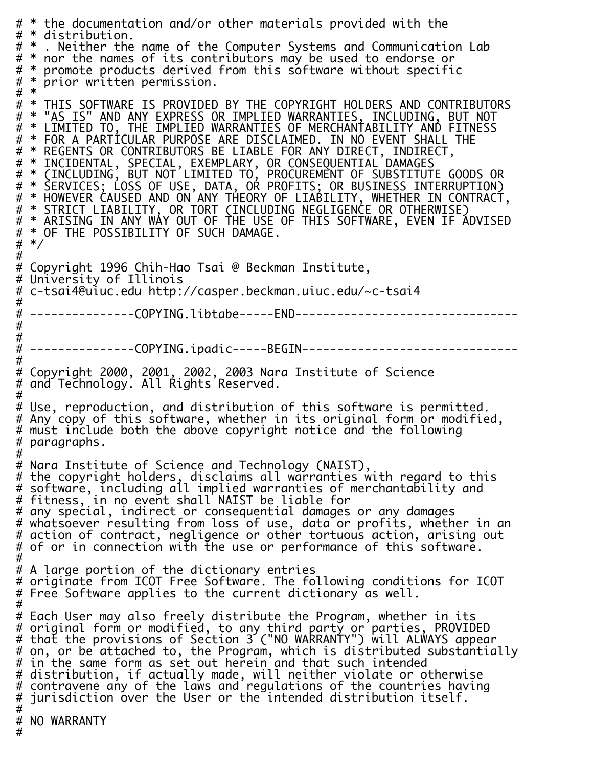# \* the documentation and/or other materials provided with the<br># \* distribution. # \* distribution.<br># \* . Neither the . Neither the name of the Computer Systems and Communication Lab # \* nor the names of its contributors may be used to endorse or # \* promote products derived from this software without specific<br># \* prior written permission. prior written permission.  $# *$ <br>  $# *$ # \* THIS SOFTWARE IS PROVIDED BY THE COPYRIGHT HOLDERS AND CONTRIBUTORS<br># \* "AS IS" AND ANY EXPRESS OR IMPLIED WARRANTIES. INCLUDING. BUT NOT # \* "AS IS" AND ANY EXPRESS OR IMPLIED WARRANTIES, INCLUDING, BUT NOT # \* LIMITED TO, THE IMPLIED WARRANTIES OF MERCHANTABILITY AND FITNESS # \* FOR A PARTICULAR PURPOSE ARE DISCLAIMED. IN NO EVENT SHALL THE # \* REGENTS OR CONTRIBUTORS BE LIABLE FOR ANY DIRECT, INDIRECT,<br># \* INCIDENTAL, SPECIAL, EXEMPLARY, OR CONSFOUENTTAL DAMAGES # \* INCIDENTAL, SPECIAL, EXEMPLARY, OR CONSEQUENTIAL DAMAGES # \* (INCLUDING, BUT NOT LIMITED TO, PROCUREMENT OF SUBSTITUTE GOODS OR # \* SERVICES; LOSS OF USE, DATA, OR PROFITS; OR BUSINESS INTERRUPTION) # \* HOWEVER CAUSED AND ON ANY THEORY OF LIABILITY, WHETHER IN CONTRACT, # \* STRICT LIABILITY, OR TORT (INCLUDING NEGLIGENCE OR OTHERWISE) # \* ARISING IN ANY WAY OUT OF THE USE OF THIS SOFTWARE, EVEN IF ADVISED # \* OF THE POSSIBILITY OF SUCH DAMAGE. # \*/ # # Copyright 1996 Chih-Hao Tsai @ Beckman Institute, # University of Illinois # c-tsai4@uiuc.edu http://casper.beckman.uiuc.edu/~c-tsai4 # # ---------------COPYING.libtabe-----END-------------------------------- # # # ---------------COPYING.ipadic-----BEGIN------------------------------- # # Copyright 2000, 2001, 2002, 2003 Nara Institute of Science # and Technology. All Rights Reserved. # # Use, reproduction, and distribution of this software is permitted. # Any copy of this software, whether in its original form or modified, # must include both the above copyright notice and the following # paragraphs. # # Nara Institute of Science and Technology (NAIST), # the copyright holders, disclaims all warranties with regard to this # software, including all implied warranties of merchantability and # fitness, in no event shall NAIST be liable for # any special, indirect or consequential damages or any damages # whatsoever resulting from loss of use, data or profits, whether in an # action of contract, negligence or other tortuous action, arising out # of or in connection with the use or performance of this software. # # A large portion of the dictionary entries # originate from ICOT Free Software. The following conditions for ICOT # Free Software applies to the current dictionary as well. # # Each User may also freely distribute the Program, whether in its # original form or modified, to any third party or parties, PROVIDED # that the provisions of Section 3 ("NO WARRANTY") will ALWAYS appear # on, or be attached to, the Program, which is distributed substantially # in the same form as set out herein and that such intended # distribution, if actually made, will neither violate or otherwise # contravene any of the laws and regulations of the countries having<br># iurisdiction over the User or the intended distribution itself. jurisdiction over the User or the intended distribution itself. # # NO WARRANTY #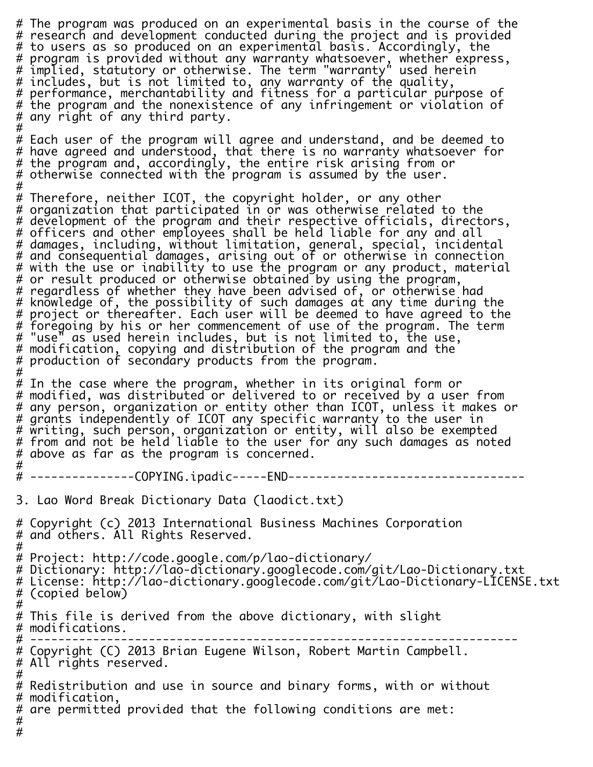# The program was produced on an experimental basis in the course of the # research and development conducted during the project and is provided # to users as so produced on an experimental basis. Accordingly, the # program is provided without any warranty whatsoever, whether express, # implied, statutory or otherwise. The term "warranty" used herein # includes, but is not limited to, any warranty of the quality, # performance, merchantability and fitness for a particular purpose of # the program and the nonexistence of any infringement or violation of # any right of any third party. # # Each user of the program will agree and understand, and be deemed to # have agreed and understood, that there is no warranty whatsoever for # the program and, accordingly, the entire risk arising from or # otherwise connected with the program is assumed by the user. # # Therefore, neither ICOT, the copyright holder, or any other # organization that participated in or was otherwise related to the # development of the program and their respective officials, directors, # officers and other employees shall be held liable for any and all # damages, including, without limitation, general, special, incidental # and consequential damages, arising out of or otherwise in connection # with the use or inability to use the program or any product, material # or result produced or otherwise obtained by using the program, # regardless of whether they have been advised of, or otherwise had # knowledge of, the possibility of such damages at any time during the # project or thereafter. Each user will be deemed to have agreed to the # forẽgoing by his or her commencement of use of the program̃. The term<br># "use" as used herein includes. but is not limited to, the use,  $\alpha$  as used herein includes, but is not limited to, the use, # modification, copying and distribution of the program and the # production of secondary products from the program. # # In the case where the program, whether in its original form or # modified, was distributed or delivered to or received by a user from # any person, organization or entity other than ICOT, unless it makes or # grants independently of ICOT any specific warranty to the user in # writing, such person, organization or entity, will also be exempted # from and not be held liable to the user for any such damages as noted # above as far as the program is concerned. # # ---------------COPYING.ipadic-----END---------------------------------- 3. Lao Word Break Dictionary Data (laodict.txt) # Copyright (c) 2013 International Business Machines Corporation # and others. All Rights Reserved. # # Project: http://code.google.com/p/lao-dictionary/ # Dictionary: http://lao-dictionary.googlecode.com/git/Lao-Dictionary.txt # License: http://lao-dictionary.googlecode.com/git/Lao-Dictionary-LICENSE.txt # (copied below) # # This file is derived from the above dictionary, with slight # modifications. # ---------------------------------------------------------------------- # Copyright (C) 2013 Brian Eugene Wilson, Robert Martin Campbell. # All rights reserved. # # Redistribution and use in source and binary forms, with or without # modification, # are permitted provided that the following conditions are met: #

#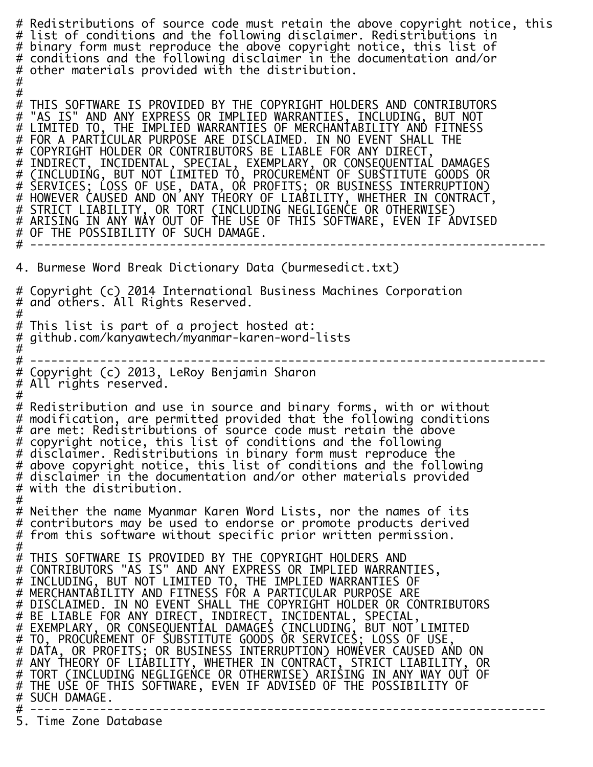# Redistributions of source code must retain the above copyright notice, this # list of conditions and the following disclaimer. Redistributions in # binary form must reproduce the above copyright notice, this list of # conditions and the following disclaimer in the documentation and/or # other materials provided with the distribution. # # # THIS SOFTWARE IS PROVIDED BY THE COPYRIGHT HOLDERS AND CONTRIBUTORS<br># "AS IS" AND ANY EXPRESS OR IMPLIED WARRANTIES. INCLUDING. BUT NOT # "AS IS" AND ANY EXPRESS OR IMPLIED WARRANTIES, INCLUDING, BUT NOT # LIMITED TO, THE IMPLIED WARRANTIES OF MERCHANTABILITY AND FITNESS # FOR A PARTICULAR PURPOSE ARE DISCLAIMED. IN NO EVENT SHALL THE # COPYRIGHT HOLDER OR CONTRIBUTORS BE LIABLE FOR ANY DIRECT, # INDIRECT, INCIDENTAL, SPECIAL, EXEMPLARY, OR CONSEQUENTIAL DAMAGES # (INCLUDING, BUT NOT LIMITED TO, PROCUREMENT OF SUBSTITUTE GOODS OR # SERVICES; LOSS OF USE, DATA, OR PROFITS; OR BUSINESS INTERRUPTION) # HOWEVER CAUSED AND ON ANY THEORY OF LIABILITY, WHETHER IN CONTRACT, # STRICT LIABILITY, OR TORT (INCLUDING NEGLIGENCE OR OTHERWISE) # ARISING IN ANY WAY OUT OF THE USE OF THIS SOFTWARE, EVEN IF ADVISED # OF THE POSSIBILITY OF SUCH DAMAGE. # -------------------------------------------------------------------------- 4. Burmese Word Break Dictionary Data (burmesedict.txt) # Copyright (c) 2014 International Business Machines Corporation # and others. All Rights Reserved. # # This list is part of a project hosted at: # github.com/kanyawtech/myanmar-karen-word-lists #<br># -# -------------------------------------------------------------------------- # Copyright (c) 2013, LeRoy Benjamin Sharon # All rights reserved. # # Redistribution and use in source and binary forms, with or without # modification, are permitted provided that the following conditions # are met: Redistributions of source code must retain the above # copyright notice, this list of conditions and the following # disclaimer. Redistributions in binary form must reproduce the # above copyright notice, this list of conditions and the following # disclaimer in the documentation and/or other materials provided # with the distribution. # # Neither the name Myanmar Karen Word Lists, nor the names of its # contributors may be used to endorse or promote products derived # from this software without specific prior written permission. # # THIS SOFTWARE IS PROVIDED BY THE COPYRIGHT HOLDERS AND # CONTRIBUTORS "AS IS" AND ANY EXPRESS OR IMPLIED WARRANTIES, # INCLUDING, BUT NOT LIMITED TO, THE IMPLIED WARRANTIES OF # MERCHANTABILITY AND FITNESS FOR A PARTICULAR PURPOSE ARE # DISCLAIMED. IN NO EVENT SHALL THE COPYRIGHT HOLDER OR CONTRIBUTORS # BE LIABLE FOR ANY DIRECT, INDIRECT, INCIDENTAL, SPECIAL, # EXEMPLARY, OR CONSEQUENTIAL DAMAGES (INCLUDING, BUT NOT LIMITED # TO, PROCUREMENT OF SUBSTITUTE GOODS OR SERVICES; LOSS OF USE, # DATA, OR PROFITS; OR BUSINESS INTERRUPTION) HOWEVER CAUSED AND ON # ANY THEORY OF LIABILITY, WHETHER IN CONTRACT, STRICT LIABILITY, OR # TORT (INCLUDING NEGLIGENCE OR OTHERWISE) ARISING IN ANY WAY OUT OF # THE USE OF THIS SOFTWARE, EVEN IF ADVISED OF THE POSSIBILITY OF # SUCH DAMAGE. # -------------------------------------------------------------------------- 5. Time Zone Database